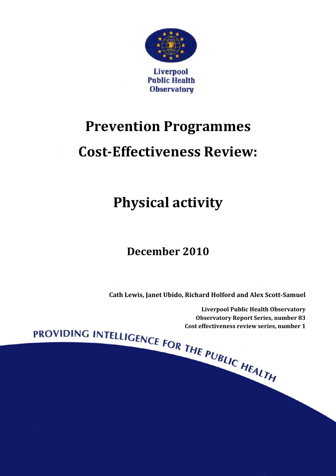

## **Prevention Programmes**

### **Cost-Effectiveness Review:**

## **Physical activity**

### **December 2010**

**Cath Lewis, Janet Ubido, Richard Holford and Alex Scott-Samuel** 

Liverpool Public Health Observatory<br>
Observatory Report Series, number 83<br>
Cost effectiveness review series, number 1<br>
Cost effectiveness review series, number 1<br>
Cost effectiveness review series, number 1<br>
Cost effectiven **Observatory Report Series, number 83 Cost effectiveness review series, number 1**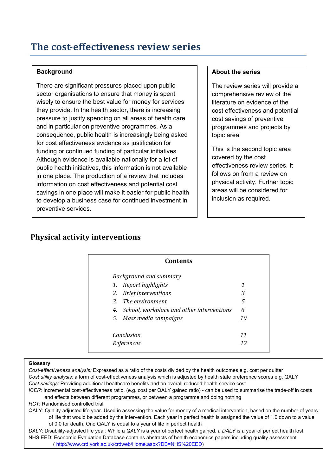#### **Background**

There are significant pressures placed upon public sector organisations to ensure that money is spent wisely to ensure the best value for money for services they provide. In the health sector, there is increasing pressure to justify spending on all areas of health care and in particular on preventive programmes. As a consequence, public health is increasingly being asked for cost effectiveness evidence as justification for funding or continued funding of particular initiatives. Although evidence is available nationally for a lot of public health initiatives, this information is not available in one place. The production of a review that includes information on cost effectiveness and potential cost savings in one place will make it easier for public health to develop a business case for continued investment in preventive services.

#### **About the series**

The review series will provide a comprehensive review of the literature on evidence of the cost effectiveness and potential cost savings of preventive programmes and projects by topic area.

This is the second topic area covered by the cost effectiveness review series. It follows on from a review on physical activity. Further topic areas will be considered for inclusion as required.

### **Physical activity interventions**

|    | <b>Background and summary</b>             |    |
|----|-------------------------------------------|----|
| 1. | Report highlights                         | 1  |
| 2. | <b>Brief interventions</b>                | 3  |
|    | 3. The environment                        | 5  |
| 4. | School, workplace and other interventions | 6  |
|    | 5. Mass media campaigns                   | 10 |
|    | Conclusion                                | 11 |
|    | References                                | 12 |

#### **Glossary**

*Cost-effectiveness analysis:* Expressed as a ratio of the costs divided by the health outcomes e.g. cost per quitter *Cost utility analysis:* a form of cost-effectiveness analysis which is adjusted by health state preference scores e.g. QALY *Cost savings*: Providing additional healthcare benefits and an overall reduced health service cost

*ICER:* Incremental cost-effectiveness ratio, (e.g. cost per QALY gained ratio) - can be used to summarise the trade-off in costs and effects between different programmes, or between a programme and doing nothing

*RCT*: Randomised controlled trial

QALY: Quality-adjusted life year. Used in assessing the value for money of a medical intervention, based on the number of years of life that would be added by the intervention. Each year in perfect health is assigned the value of 1.0 down to a value of 0.0 for death. One QALY is equal to a year of life in perfect health

*DALY*: Disability-adjusted life year: While a *QALY* is a year of perfect health gained, a *DALY* is a year of perfect health lost. NHS EED: Economic Evaluation Database contains abstracts of health economics papers including quality assessment ( http://www.crd.york.ac.uk/crdweb/Home.aspx?DB=NHS%20EED)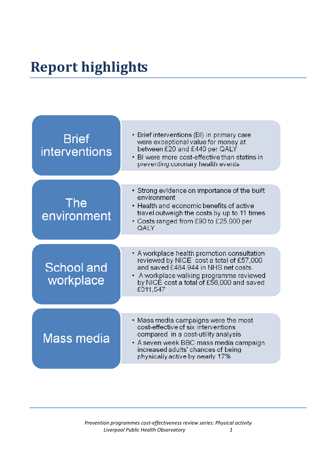# **Report highlights**

| <b>Brief</b><br><b>interventions</b> | • Brief interventions (BI) in primary care<br>were exceptional value for money at<br>between £20 and £440 per QALY<br>• BI were more cost-effective than statins in<br>preventing coronary health events                              |
|--------------------------------------|---------------------------------------------------------------------------------------------------------------------------------------------------------------------------------------------------------------------------------------|
|                                      | • Strong evidence on importance of the built<br>environment                                                                                                                                                                           |
| <b>The</b><br>environment            | • Health and economic benefits of active<br>travel outweigh the costs by up to 11 times<br>• Costs ranged from £90 to £25,000 per<br>QALY                                                                                             |
|                                      |                                                                                                                                                                                                                                       |
| School and<br>workplace              | • A workplace health promotion consultation<br>reviewed by NICE cost a total of £57,000<br>and saved £484,944 in NHS net costs.<br>• A workplace walking programme reviewed<br>by NICE cost a total of £56,000 and saved<br>£311,547  |
|                                      |                                                                                                                                                                                                                                       |
| Mass media                           | • Mass media campaigns were the most<br>cost-effective of six interventions<br>compared in a cost-utility analysis<br>• A seven week BBC mass media campaign<br>increased adults' chances of being<br>physically active by nearly 17% |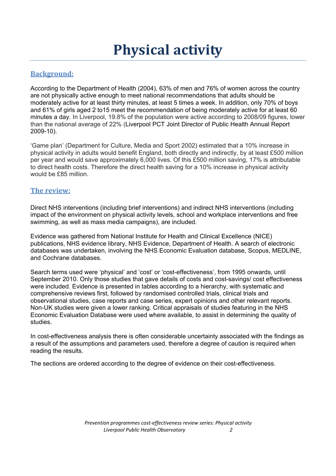#### **Background:**

According to the Department of Health (2004), 63% of men and 76% of women across the country are not physically active enough to meet national recommendations that adults should be moderately active for at least thirty minutes, at least 5 times a week. In addition, only 70% of boys and 61% of girls aged 2 to15 meet the recommendation of being moderately active for at least 60 minutes a day. In Liverpool, 19.8% of the population were active according to 2008/09 figures, lower than the national average of 22% (Liverpool PCT Joint Director of Public Health Annual Report 2009-10).

'Game plan' (Department for Culture, Media and Sport 2002) estimated that a 10% increase in physical activity in adults would benefit England, both directly and indirectly, by at least £500 million per year and would save approximately 6,000 lives. Of this £500 million saving, 17% is attributable to direct health costs. Therefore the direct health saving for a 10% increase in physical activity would be £85 million.

#### **The review:**

Direct NHS interventions (including brief interventions) and indirect NHS interventions (including impact of the environment on physical activity levels, school and workplace interventions and free swimming, as well as mass media campaigns), are included.

Evidence was gathered from National Institute for Health and Clinical Excellence (NICE) publications, NHS evidence library, NHS Evidence, Department of Health. A search of electronic databases was undertaken, involving the NHS Economic Evaluation database, Scopus, MEDLINE, and Cochrane databases.

Search terms used were 'physical' and 'cost' or 'cost-effectiveness', from 1995 onwards, until September 2010. Only those studies that gave details of costs and cost-savings/ cost effectiveness were included. Evidence is presented in tables according to a hierarchy, with systematic and comprehensive reviews first, followed by randomised controlled trials, clinical trials and observational studies, case reports and case series, expert opinions and other relevant reports. Non-UK studies were given a lower ranking. Critical appraisals of studies featuring in the NHS Economic Evaluation Database were used where available, to assist in determining the quality of studies.

In cost-effectiveness analysis there is often considerable uncertainty associated with the findings as a result of the assumptions and parameters used, therefore a degree of caution is required when reading the results.

The sections are ordered according to the degree of evidence on their cost-effectiveness.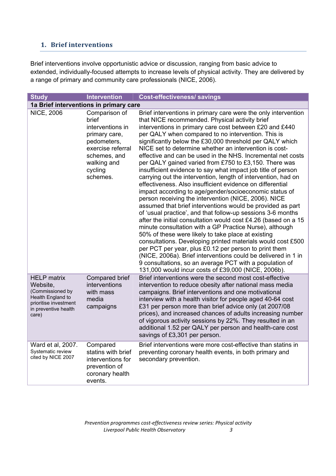#### **1. Brief interventions**

Brief interventions involve opportunistic advice or discussion, ranging from basic advice to extended, individually-focused attempts to increase levels of physical activity. They are delivered by a range of primary and community care professionals (NICE, 2006).

| <b>Study</b>                                                                                                                             | <b>Intervention</b>                                                                                                                                   | <b>Cost-effectiveness/ savings</b>                                                                                                                                                                                                                                                                                                                                                                                                                                                                                                                                                                                                                                                                                                                                                                                                                                                                                                                                                                                                                                                                                                                                                                                                                                                                                                                                                                                         |  |  |
|------------------------------------------------------------------------------------------------------------------------------------------|-------------------------------------------------------------------------------------------------------------------------------------------------------|----------------------------------------------------------------------------------------------------------------------------------------------------------------------------------------------------------------------------------------------------------------------------------------------------------------------------------------------------------------------------------------------------------------------------------------------------------------------------------------------------------------------------------------------------------------------------------------------------------------------------------------------------------------------------------------------------------------------------------------------------------------------------------------------------------------------------------------------------------------------------------------------------------------------------------------------------------------------------------------------------------------------------------------------------------------------------------------------------------------------------------------------------------------------------------------------------------------------------------------------------------------------------------------------------------------------------------------------------------------------------------------------------------------------------|--|--|
| 1a Brief interventions in primary care                                                                                                   |                                                                                                                                                       |                                                                                                                                                                                                                                                                                                                                                                                                                                                                                                                                                                                                                                                                                                                                                                                                                                                                                                                                                                                                                                                                                                                                                                                                                                                                                                                                                                                                                            |  |  |
| <b>NICE, 2006</b>                                                                                                                        | Comparison of<br>brief<br>interventions in<br>primary care,<br>pedometers,<br>exercise referral<br>schemes, and<br>walking and<br>cycling<br>schemes. | Brief interventions in primary care were the only intervention<br>that NICE recommended. Physical activity brief<br>interventions in primary care cost between £20 and £440<br>per QALY when compared to no intervention. This is<br>significantly below the £30,000 threshold per QALY which<br>NICE set to determine whether an intervention is cost-<br>effective and can be used in the NHS. Incremental net costs<br>per QALY gained varied from £750 to £3,150. There was<br>insufficient evidence to say what impact job title of person<br>carrying out the intervention, length of intervention, had on<br>effectiveness. Also insufficient evidence on differential<br>impact according to age/gender/socioeconomic status of<br>person receiving the intervention (NICE, 2006). NICE<br>assumed that brief interventions would be provided as part<br>of 'usual practice', and that follow-up sessions 3-6 months<br>after the initial consultation would cost £4.26 (based on a 15<br>minute consultation with a GP Practice Nurse), although<br>50% of these were likely to take place at existing<br>consultations. Developing printed materials would cost £500<br>per PCT per year, plus £0.12 per person to print them<br>(NICE, 2006a). Brief interventions could be delivered in 1 in<br>9 consultations, so an average PCT with a population of<br>131,000 would incur costs of £39,000 (NICE, 2006b). |  |  |
| <b>HELP</b> matrix<br>Website,<br>(Commissioned by<br><b>Health England to</b><br>prioritise investment<br>in preventive health<br>care) | Compared brief<br>interventions<br>with mass<br>media<br>campaigns                                                                                    | Brief interventions were the second most cost-effective<br>intervention to reduce obesity after national mass media<br>campaigns. Brief interventions and one motivational<br>interview with a health visitor for people aged 40-64 cost<br>£31 per person more than brief advice only (at 2007/08<br>prices), and increased chances of adults increasing number<br>of vigorous activity sessions by 22%. They resulted in an<br>additional 1.52 per QALY per person and health-care cost<br>savings of £3,301 per person.                                                                                                                                                                                                                                                                                                                                                                                                                                                                                                                                                                                                                                                                                                                                                                                                                                                                                                 |  |  |
| Ward et al, 2007.<br>Systematic review<br>cited by NICE 2007                                                                             | Compared<br>statins with brief<br>interventions for<br>prevention of<br>coronary health<br>events.                                                    | Brief interventions were more cost-effective than statins in<br>preventing coronary health events, in both primary and<br>secondary prevention.                                                                                                                                                                                                                                                                                                                                                                                                                                                                                                                                                                                                                                                                                                                                                                                                                                                                                                                                                                                                                                                                                                                                                                                                                                                                            |  |  |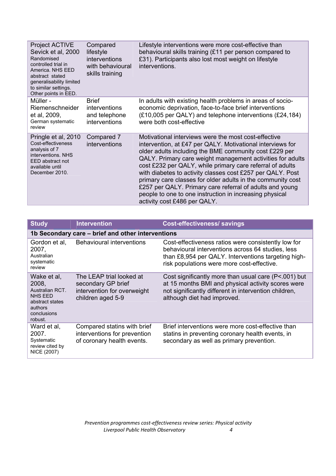| <b>Project ACTIVE</b><br>Sevick et al, 2000<br>Randomised<br>controlled trial in<br>America, NHS EED<br>abstract stated<br>generalisability limited<br>to similar settings.<br>Other points in EED. | Compared<br>lifestyle<br>interventions<br>with behavioural<br>skills training | Lifestyle interventions were more cost-effective than<br>behavioural skills training (£11 per person compared to<br>£31). Participants also lost most weight on lifestyle<br>interventions.                                                                                                                                                                                                                                                                                                                                                                                                 |
|-----------------------------------------------------------------------------------------------------------------------------------------------------------------------------------------------------|-------------------------------------------------------------------------------|---------------------------------------------------------------------------------------------------------------------------------------------------------------------------------------------------------------------------------------------------------------------------------------------------------------------------------------------------------------------------------------------------------------------------------------------------------------------------------------------------------------------------------------------------------------------------------------------|
| Müller -<br>Riemenschneider<br>et al, 2009,<br>German systematic<br>review                                                                                                                          | <b>Brief</b><br>interventions<br>and telephone<br>interventions               | In adults with existing health problems in areas of socio-<br>economic deprivation, face-to-face brief interventions<br>(£10,005 per QALY) and telephone interventions (£24,184)<br>were both cost-effective                                                                                                                                                                                                                                                                                                                                                                                |
| Pringle et al, 2010<br>Cost-effectiveness<br>analysis of 7<br>interventions. NHS<br>EED abstract not<br>available until<br>December 2010.                                                           | Compared 7<br>interventions                                                   | Motivational interviews were the most cost-effective<br>intervention, at £47 per QALY. Motivational interviews for<br>older adults including the BME community cost £229 per<br>QALY. Primary care weight management activities for adults<br>cost £232 per QALY, while primary care referral of adults<br>with diabetes to activity classes cost £257 per QALY. Post<br>primary care classes for older adults in the community cost<br>£257 per QALY. Primary care referral of adults and young<br>people to one to one instruction in increasing physical<br>activity cost £486 per QALY. |

| <b>Study</b>                                                                                                      | <b>Intervention</b>                                                                                | <b>Cost-effectiveness/ savings</b>                                                                                                                                                                            |
|-------------------------------------------------------------------------------------------------------------------|----------------------------------------------------------------------------------------------------|---------------------------------------------------------------------------------------------------------------------------------------------------------------------------------------------------------------|
|                                                                                                                   | 1b Secondary care – brief and other interventions                                                  |                                                                                                                                                                                                               |
| Gordon et al,<br>2007,<br>Australian<br>systematic<br>review                                                      | Behavioural interventions                                                                          | Cost-effectiveness ratios were consistently low for<br>behavioural interventions across 64 studies, less<br>than £8,954 per QALY. Interventions targeting high-<br>risk populations were more cost-effective. |
| Wake et al,<br>2008,<br>Australian RCT.<br><b>NHS EED</b><br>abstract states<br>authors<br>conclusions<br>robust. | The LEAP trial looked at<br>secondary GP brief<br>intervention for overweight<br>children aged 5-9 | Cost significantly more than usual care (P<.001) but<br>at 15 months BMI and physical activity scores were<br>not significantly different in intervention children,<br>although diet had improved.            |
| Ward et al.<br>2007.<br>Systematic<br>review cited by<br>NICE (2007)                                              | Compared statins with brief<br>interventions for prevention<br>of coronary health events.          | Brief interventions were more cost-effective than<br>statins in preventing coronary health events, in<br>secondary as well as primary prevention.                                                             |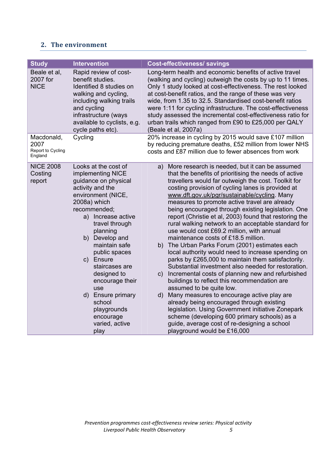#### **2. The environment**

| <b>Study</b>                                       | <b>Intervention</b>                                                                                                                                                                                                                                                                                                                                                                                              | <b>Cost-effectiveness/ savings</b>                                                                                                                                                                                                                                                                                                                                                                                                                                                                                                                                                                                                                                                                                                                                                                                                                                                                                                                                                                                                                                                                                                                                                                                                  |
|----------------------------------------------------|------------------------------------------------------------------------------------------------------------------------------------------------------------------------------------------------------------------------------------------------------------------------------------------------------------------------------------------------------------------------------------------------------------------|-------------------------------------------------------------------------------------------------------------------------------------------------------------------------------------------------------------------------------------------------------------------------------------------------------------------------------------------------------------------------------------------------------------------------------------------------------------------------------------------------------------------------------------------------------------------------------------------------------------------------------------------------------------------------------------------------------------------------------------------------------------------------------------------------------------------------------------------------------------------------------------------------------------------------------------------------------------------------------------------------------------------------------------------------------------------------------------------------------------------------------------------------------------------------------------------------------------------------------------|
| Beale et al,<br>2007 for<br><b>NICE</b>            | Rapid review of cost-<br>benefit studies.<br>Identified 8 studies on<br>walking and cycling,<br>including walking trails<br>and cycling<br>infrastructure (ways<br>available to cyclists, e.g.<br>cycle paths etc).                                                                                                                                                                                              | Long-term health and economic benefits of active travel<br>(walking and cycling) outweigh the costs by up to 11 times.<br>Only 1 study looked at cost-effectiveness. The rest looked<br>at cost-benefit ratios, and the range of these was very<br>wide, from 1.35 to 32.5. Standardised cost-benefit ratios<br>were 1:11 for cycling infrastructure. The cost-effectiveness<br>study assessed the incremental cost-effectiveness ratio for<br>urban trails which ranged from £90 to £25,000 per QALY<br>(Beale et al, 2007a)                                                                                                                                                                                                                                                                                                                                                                                                                                                                                                                                                                                                                                                                                                       |
| Macdonald,<br>2007<br>Report to Cycling<br>England | Cycling                                                                                                                                                                                                                                                                                                                                                                                                          | 20% increase in cycling by 2015 would save £107 million<br>by reducing premature deaths, £52 million from lower NHS<br>costs and £87 million due to fewer absences from work                                                                                                                                                                                                                                                                                                                                                                                                                                                                                                                                                                                                                                                                                                                                                                                                                                                                                                                                                                                                                                                        |
| <b>NICE 2008</b><br>Costing<br>report              | Looks at the cost of<br>implementing NICE<br>guidance on physical<br>activity and the<br>environment (NICE,<br>2008a) which<br>recommended;<br>a) Increase active<br>travel through<br>planning<br>b) Develop and<br>maintain safe<br>public spaces<br>c) Ensure<br>staircases are<br>designed to<br>encourage their<br>use<br>d) Ensure primary<br>school<br>playgrounds<br>encourage<br>varied, active<br>play | More research is needed, but it can be assumed<br>a)<br>that the benefits of prioritising the needs of active<br>travellers would far outweigh the cost. Toolkit for<br>costing provision of cycling lanes is provided at<br>www.dft.gov.uk/pgr/sustainable/cycling. Many<br>measures to promote active travel are already<br>being encouraged through existing legislation. One<br>report (Christie et al, 2003) found that restoring the<br>rural walking network to an acceptable standard for<br>use would cost £69.2 million, with annual<br>maintenance costs of £18.5 million.<br>b) The Urban Parks Forum (2001) estimates each<br>local authority would need to increase spending on<br>parks by £265,000 to maintain them satisfactorily.<br>Substantial investment also needed for restoration.<br>Incremental costs of planning new and refurbished<br>C)<br>buildings to reflect this recommendation are<br>assumed to be quite low.<br>d) Many measures to encourage active play are<br>already being encouraged through existing<br>legislation. Using Government initiative Zonepark<br>scheme (developing 600 primary schools) as a<br>guide, average cost of re-designing a school<br>playground would be £16,000 |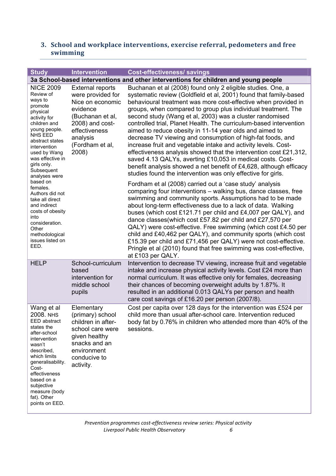#### **3. School and workplace interventions, exercise referral, pedometers and free swimming**

| <b>Study</b>                                                                                                                                                                                                                                                                                       | <b>Intervention</b>                                                                                                                                                          | <b>Cost-effectiveness/ savings</b>                                                                                                                                                                                                                                                                                                                                                                                                                                                                                                                                                                                                                                                                                                                                                                                                                                                                                                                                                                       |
|----------------------------------------------------------------------------------------------------------------------------------------------------------------------------------------------------------------------------------------------------------------------------------------------------|------------------------------------------------------------------------------------------------------------------------------------------------------------------------------|----------------------------------------------------------------------------------------------------------------------------------------------------------------------------------------------------------------------------------------------------------------------------------------------------------------------------------------------------------------------------------------------------------------------------------------------------------------------------------------------------------------------------------------------------------------------------------------------------------------------------------------------------------------------------------------------------------------------------------------------------------------------------------------------------------------------------------------------------------------------------------------------------------------------------------------------------------------------------------------------------------|
|                                                                                                                                                                                                                                                                                                    |                                                                                                                                                                              | 3a School-based interventions and other interventions for children and young people                                                                                                                                                                                                                                                                                                                                                                                                                                                                                                                                                                                                                                                                                                                                                                                                                                                                                                                      |
| <b>NICE 2009</b><br>Review of<br>ways to<br>promote<br>physical<br>activity for<br>children and<br>young people.<br><b>NHS EED</b><br>abstract states<br>intervention<br>used by Wang<br>was effective in<br>girls only.<br>Subsequent<br>analyses were<br>based on<br>females.<br>Authors did not | <b>External reports</b><br>were provided for<br>Nice on economic<br>evidence<br>(Buchanan et al,<br>2008) and cost-<br>effectiveness<br>analysis<br>(Fordham et al,<br>2008) | Buchanan et al (2008) found only 2 eligible studies. One, a<br>systematic review (Goldfield et al, 2001) found that family-based<br>behavioural treatment was more cost-effective when provided in<br>groups, when compared to group plus individual treatment. The<br>second study (Wang et al, 2003) was a cluster randomised<br>controlled trial, Planet Health. The curriculum-based intervention<br>aimed to reduce obesity in 11-14 year olds and aimed to<br>decrease TV viewing and consumption of high-fat foods, and<br>increase fruit and vegetable intake and activity levels. Cost-<br>effectiveness analysis showed that the intervention cost £21,312,<br>saved 4.13 QALYs, averting £10,053 in medical costs. Cost-<br>benefit analysis showed a net benefit of £4,628, although efficacy<br>studies found the intervention was only effective for girls.<br>Fordham et al (2008) carried out a 'case study' analysis<br>comparing four interventions - walking bus, dance classes, free |
| take all direct<br>and indirect<br>costs of obesity<br>into<br>consideration.<br>Other<br>methodological<br>issues listed on<br>EED.                                                                                                                                                               |                                                                                                                                                                              | swimming and community sports. Assumptions had to be made<br>about long-term effectiveness due to a lack of data. Walking<br>buses (which cost £121.71 per child and £4,007 per QALY), and<br>dance classes(which cost £57.82 per child and £27,570 per<br>QALY) were cost-effective. Free swimming (which cost £4.50 per<br>child and £40,462 per QALY), and community sports (which cost<br>£15.39 per child and £71,456 per QALY) were not cost-effective.<br>Pringle et al (2010) found that free swimming was cost-effective,<br>at £103 per QALY.                                                                                                                                                                                                                                                                                                                                                                                                                                                  |
| <b>HELP</b>                                                                                                                                                                                                                                                                                        | School-curriculum<br>based<br>intervention for<br>middle school<br>pupils                                                                                                    | Intervention to decrease TV viewing, increase fruit and vegetable<br>intake and increase physical activity levels. Cost £24 more than<br>normal curriculum. It was effective only for females, decreasing<br>their chances of becoming overweight adults by 1.87%. It<br>resulted in an additional 0.013 QALYs per person and health<br>care cost savings of £16.20 per person (2007/8).                                                                                                                                                                                                                                                                                                                                                                                                                                                                                                                                                                                                                 |
| Wang et al<br><b>2008. NHS</b><br>EED abstract<br>states the<br>after-school<br>intervention<br>wasn't<br>described,<br>which limits<br>generalisability.<br>Cost-<br>effectiveness<br>based on a<br>subjective<br>measure (body<br>fat). Other<br>points on EED.                                  | Elementary<br>(primary) school<br>children in after-<br>school care were<br>given healthy<br>snacks and an<br>environment<br>conducive to<br>activity.                       | Cost per capita over 128 days for the intervention was £524 per<br>child more than usual after-school care. Intervention reduced<br>body fat by 0.76% in children who attended more than 40% of the<br>sessions.                                                                                                                                                                                                                                                                                                                                                                                                                                                                                                                                                                                                                                                                                                                                                                                         |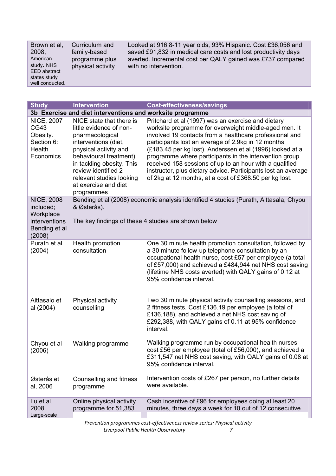Brown et al, 2008, American study. NHS EED abstract states study well conducted.

Curriculum and family-based programme plus physical activity

Looked at 916 8-11 year olds, 93% Hispanic. Cost £36,056 and saved £91,832 in medical care costs and lost productivity days averted. Incremental cost per QALY gained was £737 compared with no intervention.

| <b>Study</b>                                                               | <b>Intervention</b>                                                                                                                                                                                                                                                     | <b>Cost-effectiveness/savings</b>                                                                                                                                                                                                                                                                                                                                                                                                                                                                                                         |
|----------------------------------------------------------------------------|-------------------------------------------------------------------------------------------------------------------------------------------------------------------------------------------------------------------------------------------------------------------------|-------------------------------------------------------------------------------------------------------------------------------------------------------------------------------------------------------------------------------------------------------------------------------------------------------------------------------------------------------------------------------------------------------------------------------------------------------------------------------------------------------------------------------------------|
|                                                                            | 3b Exercise and diet interventions and worksite programme                                                                                                                                                                                                               |                                                                                                                                                                                                                                                                                                                                                                                                                                                                                                                                           |
| <b>NICE, 2007</b><br>CG43<br>Obesity.<br>Section 6:<br>Health<br>Economics | NICE state that there is<br>little evidence of non-<br>pharmacological<br>interventions (diet,<br>physical activity and<br>behavioural treatment)<br>in tackling obesity. This<br>review identified 2<br>relevant studies looking<br>at exercise and diet<br>programmes | Pritchard et al (1997) was an exercise and dietary<br>worksite programme for overweight middle-aged men. It<br>involved 19 contacts from a healthcare professional and<br>participants lost an average of 2.9kg in 12 months<br>(£183.45 per kg lost). Anderssen et al (1996) looked at a<br>programme where participants in the intervention group<br>received 158 sessions of up to an hour with a qualified<br>instructor, plus dietary advice. Participants lost an average<br>of 2kg at 12 months, at a cost of £368.50 per kg lost. |
| <b>NICE, 2008</b><br>included;<br>Workplace                                | & Østerås).                                                                                                                                                                                                                                                             | Bending et al (2008) economic analysis identified 4 studies (Purath, Aittasala, Chyou                                                                                                                                                                                                                                                                                                                                                                                                                                                     |
| interventions<br>Bending et al<br>(2008)                                   |                                                                                                                                                                                                                                                                         | The key findings of these 4 studies are shown below                                                                                                                                                                                                                                                                                                                                                                                                                                                                                       |
| Purath et al<br>(2004)                                                     | Health promotion<br>consultation                                                                                                                                                                                                                                        | One 30 minute health promotion consultation, followed by<br>a 30 minute follow-up telephone consultation by an<br>occupational health nurse, cost £57 per employee (a total<br>of £57,000) and achieved a £484,944 net NHS cost saving<br>(lifetime NHS costs averted) with QALY gains of 0.12 at<br>95% confidence interval.                                                                                                                                                                                                             |
| Aittasalo et<br>al (2004)                                                  | Physical activity<br>counselling                                                                                                                                                                                                                                        | Two 30 minute physical activity counselling sessions, and<br>2 fitness tests. Cost £136.19 per employee (a total of<br>£136,188), and achieved a net NHS cost saving of<br>£292,388, with QALY gains of 0.11 at 95% confidence<br>interval.                                                                                                                                                                                                                                                                                               |
| Chyou et al<br>(2006)                                                      | Walking programme                                                                                                                                                                                                                                                       | Walking programme run by occupational health nurses<br>cost £56 per employee (total of £56,000), and achieved a<br>£311,547 net NHS cost saving, with QALY gains of 0.08 at<br>95% confidence interval.                                                                                                                                                                                                                                                                                                                                   |
| Østerås et<br>al, 2006                                                     | Counselling and fitness<br>programme                                                                                                                                                                                                                                    | Intervention costs of £267 per person, no further details<br>were available.                                                                                                                                                                                                                                                                                                                                                                                                                                                              |
| Lu et al,<br>2008<br>Large-scale                                           | Online physical activity<br>programme for 51,383                                                                                                                                                                                                                        | Cash incentive of £96 for employees doing at least 20<br>minutes, three days a week for 10 out of 12 consecutive                                                                                                                                                                                                                                                                                                                                                                                                                          |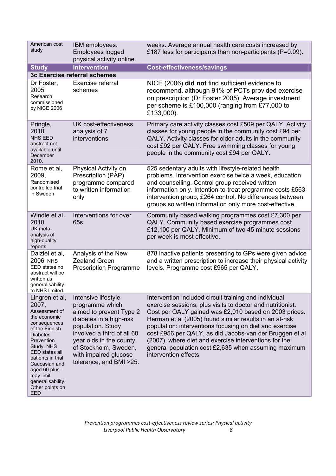| American cost<br>study                                                                                                                                                                                                                                                          | IBM employees.<br>Employees logged<br>physical activity online.                                                                                                                                                                                         | weeks. Average annual health care costs increased by<br>£187 less for participants than non-participants (P=0.09).                                                                                                                                                                                                                                                                                                                                                                                      |
|---------------------------------------------------------------------------------------------------------------------------------------------------------------------------------------------------------------------------------------------------------------------------------|---------------------------------------------------------------------------------------------------------------------------------------------------------------------------------------------------------------------------------------------------------|---------------------------------------------------------------------------------------------------------------------------------------------------------------------------------------------------------------------------------------------------------------------------------------------------------------------------------------------------------------------------------------------------------------------------------------------------------------------------------------------------------|
| <b>Study</b>                                                                                                                                                                                                                                                                    | <b>Intervention</b>                                                                                                                                                                                                                                     | <b>Cost-effectiveness/savings</b>                                                                                                                                                                                                                                                                                                                                                                                                                                                                       |
|                                                                                                                                                                                                                                                                                 | 3c Exercise referral schemes                                                                                                                                                                                                                            |                                                                                                                                                                                                                                                                                                                                                                                                                                                                                                         |
| Dr Foster,<br>2005<br>Research<br>commissioned<br>by NICE 2006                                                                                                                                                                                                                  | Exercise referral<br>schemes                                                                                                                                                                                                                            | NICE (2006) did not find sufficient evidence to<br>recommend, although 91% of PCTs provided exercise<br>on prescription (Dr Foster 2005). Average investment<br>per scheme is £100,000 (ranging from £77,000 to<br>£133,000).                                                                                                                                                                                                                                                                           |
| Pringle,<br>2010<br><b>NHS EED</b><br>abstract not<br>available until<br>December<br>2010.                                                                                                                                                                                      | <b>UK cost-effectiveness</b><br>analysis of 7<br>interventions                                                                                                                                                                                          | Primary care activity classes cost £509 per QALY. Activity<br>classes for young people in the community cost £94 per<br>QALY. Activity classes for older adults in the community<br>cost £92 per QALY. Free swimming classes for young<br>people in the community cost £94 per QALY.                                                                                                                                                                                                                    |
| Rome et al,<br>2009,<br>Randomised<br>controlled trial<br>in Sweden                                                                                                                                                                                                             | Physical Activity on<br>Prescription (PAP)<br>programme compared<br>to written information<br>only                                                                                                                                                      | 525 sedentary adults with lifestyle-related health<br>problems. Intervention exercise twice a week, education<br>and counselling. Control group received written<br>information only. Intention-to-treat programme costs £563<br>intervention group, £264 control. No differences between<br>groups so written information only more cost-effective.                                                                                                                                                    |
| Windle et al,<br>2010<br>UK meta-<br>analysis of<br>high-quality<br>reports                                                                                                                                                                                                     | Interventions for over<br>65s                                                                                                                                                                                                                           | Community based walking programmes cost £7,300 per<br>QALY. Community based exercise programmes cost<br>£12,100 per QALY. Minimum of two 45 minute sessions<br>per week is most effective.                                                                                                                                                                                                                                                                                                              |
| Dalziel et al,<br><b>2006. NHS</b><br>EED states no<br>abstract will be<br>written as<br>generalisability<br>to NHS limited.                                                                                                                                                    | Analysis of the New<br><b>Zealand Green</b><br><b>Prescription Programme</b>                                                                                                                                                                            | 878 inactive patients presenting to GPs were given advice<br>and a written prescription to increase their physical activity<br>levels. Programme cost £965 per QALY.                                                                                                                                                                                                                                                                                                                                    |
| Lingren et al,<br>2007,<br>Assessment of<br>the economic<br>consequences<br>of the Finnish<br><b>Diabetes</b><br>Prevention<br>Study. NHS<br>EED states all<br>patients in trial<br>Caucasian and<br>aged 60 plus -<br>may limit<br>generalisability.<br>Other points on<br>EED | Intensive lifestyle<br>programme which<br>aimed to prevent Type 2<br>diabetes in a high-risk<br>population. Study<br>involved a third of all 60<br>year olds in the county<br>of Stockholm, Sweden,<br>with impaired glucose<br>tolerance, and BMI >25. | Intervention included circuit training and individual<br>exercise sessions, plus visits to doctor and nutritionist.<br>Cost per QALY gained was £2,010 based on 2003 prices.<br>Herman et al (2005) found similar results in an at-risk<br>population: interventions focusing on diet and exercise<br>cost £956 per QALY, as did Jacobs-van der Bruggen et al<br>(2007), where diet and exercise interventions for the<br>general population cost £2,635 when assuming maximum<br>intervention effects. |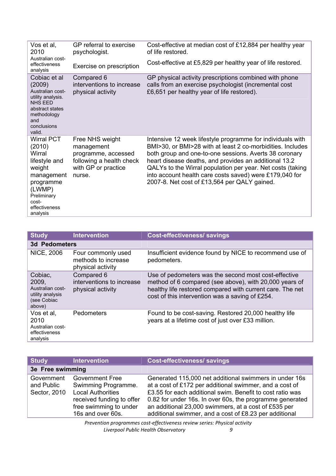| Vos et al,<br>2010                                                                                                                                         | GP referral to exercise<br>psychologist.                                                                          | Cost-effective at median cost of £12,884 per healthy year<br>of life restored.                                                                                                                                                                                                                                                                                                                                       |
|------------------------------------------------------------------------------------------------------------------------------------------------------------|-------------------------------------------------------------------------------------------------------------------|----------------------------------------------------------------------------------------------------------------------------------------------------------------------------------------------------------------------------------------------------------------------------------------------------------------------------------------------------------------------------------------------------------------------|
| Australian cost-<br>effectiveness<br>analysis                                                                                                              | Exercise on prescription                                                                                          | Cost-effective at £5,829 per healthy year of life restored.                                                                                                                                                                                                                                                                                                                                                          |
| Cobiac et al<br>(2009)<br>Australian cost-<br>utility analysis.<br>NHS FFD<br>abstract states<br>methodology<br>and<br>conclusions<br>valid.               | Compared 6<br>interventions to increase<br>physical activity                                                      | GP physical activity prescriptions combined with phone<br>calls from an exercise psychologist (incremental cost<br>£6,651 per healthy year of life restored).                                                                                                                                                                                                                                                        |
| <b>Wirral PCT</b><br>(2010)<br>Wirral<br>lifestyle and<br>weight<br>management<br>programme<br>(LWMP)<br>Preliminary<br>cost-<br>effectiveness<br>analysis | Free NHS weight<br>management<br>programme, accessed<br>following a health check<br>with GP or practice<br>nurse. | Intensive 12 week lifestyle programme for individuals with<br>BMI>30, or BMI>28 with at least 2 co-morbidities. Includes<br>both group and one-to-one sessions. Averts 38 coronary<br>heart disease deaths, and provides an additional 13.2<br>QALYs to the Wirral population per year. Net costs (taking<br>into account health care costs saved) were £179,040 for<br>2007-8. Net cost of £13,564 per QALY gained. |

| <b>Study</b>                                                                      | <b>Intervention</b>                                            | <b>Cost-effectiveness/ savings</b>                                                                                                                                                                                             |  |
|-----------------------------------------------------------------------------------|----------------------------------------------------------------|--------------------------------------------------------------------------------------------------------------------------------------------------------------------------------------------------------------------------------|--|
| <b>3d Pedometers</b>                                                              |                                                                |                                                                                                                                                                                                                                |  |
| <b>NICE, 2006</b>                                                                 | Four commonly used<br>methods to increase<br>physical activity | Insufficient evidence found by NICE to recommend use of<br>pedometers.                                                                                                                                                         |  |
| Cobiac,<br>2009,<br>Australian cost-<br>utility analysis<br>(see Cobiac<br>above) | Compared 6<br>interventions to increase<br>physical activity   | Use of pedometers was the second most cost-effective<br>method of 6 compared (see above), with 20,000 years of<br>healthy life restored compared with current care. The net<br>cost of this intervention was a saving of £254. |  |
| Vos et al.<br>2010<br>Australian cost-<br>effectiveness<br>analysis               | Pedometers                                                     | Found to be cost-saving. Restored 20,000 healthy life<br>years at a lifetime cost of just over £33 million.                                                                                                                    |  |

| <b>Study</b>                             | <b>Intervention</b>                                                                                                                                   | <b>Cost-effectiveness/savings</b>                                                                                                                                                                                                                                                                                                                            |
|------------------------------------------|-------------------------------------------------------------------------------------------------------------------------------------------------------|--------------------------------------------------------------------------------------------------------------------------------------------------------------------------------------------------------------------------------------------------------------------------------------------------------------------------------------------------------------|
| 3e Free swimming                         |                                                                                                                                                       |                                                                                                                                                                                                                                                                                                                                                              |
| Government<br>and Public<br>Sector, 2010 | <b>Government Free</b><br>Swimming Programme.<br><b>Local Authorities</b><br>received funding to offer<br>free swimming to under<br>16s and over 60s. | Generated 115,000 net additional swimmers in under 16s<br>at a cost of £172 per additional swimmer, and a cost of<br>£3.55 for each additional swim. Benefit to cost ratio was<br>0.82 for under 16s. In over 60s, the programme generated<br>an additional 23,000 swimmers, at a cost of £535 per<br>additional swimmer, and a cost of £8.23 per additional |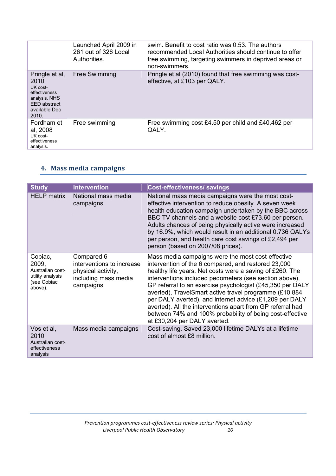|                                                                                                                | Launched April 2009 in<br>261 out of 326 Local<br>Authorities. | swim. Benefit to cost ratio was 0.53. The authors<br>recommended Local Authorities should continue to offer<br>free swimming, targeting swimmers in deprived areas or<br>non-swimmers. |
|----------------------------------------------------------------------------------------------------------------|----------------------------------------------------------------|----------------------------------------------------------------------------------------------------------------------------------------------------------------------------------------|
| Pringle et al,<br>2010<br>UK cost-<br>effectiveness<br>analysis. NHS<br>EED abstract<br>available Dec<br>2010. | <b>Free Swimming</b>                                           | Pringle et al (2010) found that free swimming was cost-<br>effective, at £103 per QALY.                                                                                                |
| Fordham et<br>al, 2008<br>UK cost-<br>effectiveness<br>analysis.                                               | Free swimming                                                  | Free swimming cost £4.50 per child and £40,462 per<br>OALY.                                                                                                                            |

#### **4. Mass media campaigns**

| <b>Study</b>                                                                       | <b>Intervention</b>                                                                                | Cost-effectiveness/ savings                                                                                                                                                                                                                                                                                                                                                                                                                                                                                                                                                |
|------------------------------------------------------------------------------------|----------------------------------------------------------------------------------------------------|----------------------------------------------------------------------------------------------------------------------------------------------------------------------------------------------------------------------------------------------------------------------------------------------------------------------------------------------------------------------------------------------------------------------------------------------------------------------------------------------------------------------------------------------------------------------------|
| <b>HELP matrix</b>                                                                 | National mass media<br>campaigns                                                                   | National mass media campaigns were the most cost-<br>effective intervention to reduce obesity. A seven week<br>health education campaign undertaken by the BBC across<br>BBC TV channels and a website cost £73.60 per person.<br>Adults chances of being physically active were increased<br>by 16.9%, which would result in an additional 0.736 QALYs<br>per person, and health care cost savings of £2,494 per<br>person (based on 2007/08 prices).                                                                                                                     |
| Cobiac,<br>2009,<br>Australian cost-<br>utility analysis<br>(see Cobiac<br>above). | Compared 6<br>interventions to increase<br>physical activity,<br>including mass media<br>campaigns | Mass media campaigns were the most cost-effective<br>intervention of the 6 compared, and restored 23,000<br>healthy life years. Net costs were a saving of £260. The<br>interventions included pedometers (see section above),<br>GP referral to an exercise psychologist (£45,350 per DALY<br>averted), TravelSmart active travel programme (£10,884<br>per DALY averted), and internet advice (£1,209 per DALY<br>averted). All the interventions apart from GP referral had<br>between 74% and 100% probability of being cost-effective<br>at £30,204 per DALY averted. |
| Vos et al,<br>2010<br>Australian cost-<br>effectiveness<br>analysis                | Mass media campaigns                                                                               | Cost-saving. Saved 23,000 lifetime DALYs at a lifetime<br>cost of almost £8 million.                                                                                                                                                                                                                                                                                                                                                                                                                                                                                       |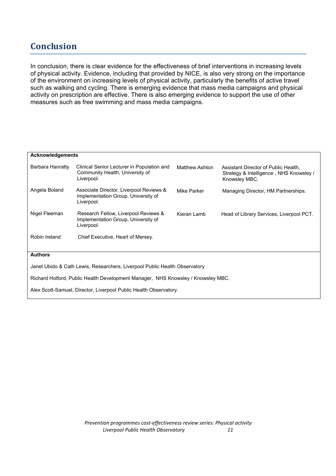### **Conclusion**

In conclusion, there is clear evidence for the effectiveness of brief interventions in increasing levels of physical activity. Evidence, including that provided by NICE, is also very strong on the importance of the environment on increasing levels of physical activity, particularly the benefits of active travel such as walking and cycling. There is emerging evidence that mass media campaigns and physical activity on prescription are effective. There is also emerging evidence to support the use of other measures such as free swimming and mass media campaigns.

| <b>Acknowledgements</b>                                                          |                                                                                              |                |                                                                                                  |  |  |  |
|----------------------------------------------------------------------------------|----------------------------------------------------------------------------------------------|----------------|--------------------------------------------------------------------------------------------------|--|--|--|
| Barbara Hanratty                                                                 | Clinical Senior Lecturer in Population and<br>Community Health, University of<br>Liverpool.  | Matthew Ashton | Assistant Director of Public Health.<br>Strategy & Intelligence, NHS Knowsley /<br>Knowsley MBC. |  |  |  |
| Angela Boland                                                                    | Associate Director, Liverpool Reviews &<br>Implementation Group, University of<br>Liverpool. | Mike Parker    | Managing Director, HM Partnerships.                                                              |  |  |  |
| Nigel Fleeman                                                                    | Research Fellow, Liverpool Reviews &<br>Implementation Group, University of<br>Liverpool.    | Kieran Lamb    | Head of Library Services, Liverpool PCT.                                                         |  |  |  |
| Robin Ireland                                                                    | Chief Executive, Heart of Mersey.                                                            |                |                                                                                                  |  |  |  |
| <b>Authors</b>                                                                   |                                                                                              |                |                                                                                                  |  |  |  |
| Janet Ubido & Cath Lewis, Researchers, Liverpool Public Health Observatory       |                                                                                              |                |                                                                                                  |  |  |  |
| Richard Holford, Public Health Development Manager, NHS Knowsley / Knowsley MBC. |                                                                                              |                |                                                                                                  |  |  |  |
| Alex Scott-Samuel, Director, Liverpool Public Health Observatory.                |                                                                                              |                |                                                                                                  |  |  |  |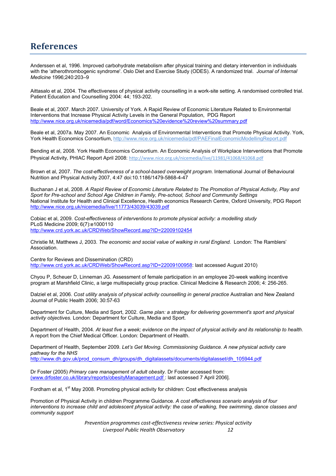#### **References**

Anderssen et al, 1996. Improved carbohydrate metabolism after physical training and dietary intervention in individuals with the 'atherothrombogenic syndrome'. Oslo Diet and Exercise Study (ODES). A randomized trial. *Journal of Internal Medicine* 1996;240:203–9

Aittasalo et al, 2004. The effectiveness of physical activity counselling in a work-site setting. A randomised controlled trial. Patient Education and Counselling 2004: 44; 193-202.

Beale et al, 2007. March 2007. University of York. A Rapid Review of Economic Literature Related to Environmental Interventions that Increase Physical Activity Levels in the General Population, PDG Report http://www.nice.org.uk/nicemedia/pdf/word/Economics%20evidence%20review%20summary.pdf

Beale et al, 2007a. May 2007. An Economic Analysis of Environmental Interventions that Promote Physical Activity. York, York Health Economics Consortium, http://www.nice.org.uk/nicemedia/pdf/PAEFinalEconomicModellingReport.pdf

Bending et al, 2008. York Health Economics Consortium. An Economic Analysis of Workplace Interventions that Promote Physical Activity, PHIAC Report April 2008: http://www.nice.org.uk/nicemedia/live/11981/41068/41068.pdf

Brown et al, 2007. *The cost-effectiveness of a school-based overweight program*. International Journal of Behavioural Nutrition and Physical Activity 2007, 4:47 doi:10.1186/1479-5868-4-47

Buchanan J et al, 2008. *A Rapid Review of Economic Literature Related to The Promotion of Physical Activity, Play and Sport for Pre-school and School Age Children in Family, Pre-school, School and Community Settings* National Institute for Health and Clinical Excellence, Health economics Research Centre, Oxford University, PDG Report http://www.nice.org.uk/nicemedia/live/11773/43039/43039.pdf

Cobiac et al, 2009. *Cost-effectiveness of interventions to promote physical activity: a modelling study* PLoS Medicine 2009; 6(7):e1000110 http://www.crd.york.ac.uk/CRDWeb/ShowRecord.asp?ID=22009102454

Christie M, Matthews J, 2003. *The economic and social value of walking in rural England.* London: The Ramblers' Association.

Centre for Reviews and Dissemination (CRD) http://www.crd.york.ac.uk/CRDWeb/ShowRecord.asp?ID=22009100958: last accessed August 2010)

Chyou P, Scheuer D, Linneman JG. Assessment of female participation in an employee 20-week walking incentive program at Marshfield Clinic, a large multispecialty group practice. Clinical Medicine & Research 2006; 4: 256-265.

Dalziel et al, 2006. *Cost utility analysis of physical activity counselling in general practice* Australian and New Zealand Journal of Public Health 2006; 30:57-63

Department for Culture, Media and Sport, 2002. *Game plan: a strategy for delivering government's sport and physical activity objectives.* London: Department for Culture, Media and Sport.

Department of Health, 2004. *At least five a week; evidence on the impact of physical activity and its relationship to health.*  A report from the Chief Medical Officer. London: Department of Health.

Department of Health, September 2009. *Let's Get Moving. Commissioning Guidance. A new physical activity care pathway for the NHS* http://www.dh.gov.uk/prod\_consum\_dh/groups/dh\_digitalassets/documents/digitalasset/dh\_105944.pdf

Dr Foster (2005) *Primary care management of adult obesity.* Dr Foster accessed from: (www.drfoster.co.uk/library/reports/obesityManagement.pdf : last accessed 7 April 2006].

Fordham et al, 1<sup>st</sup> May 2008. Promoting physical activity for children: Cost effectiveness analysis

Promotion of Physical Activity in children Programme Guidance. *A cost effectiveness scenario analysis of four interventions to increase child and adolescent physical activity: the case of walking, free swimming, dance classes and community support*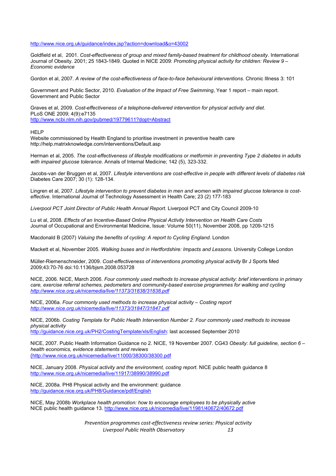#### http://www.nice.org.uk/guidance/index.jsp?action=download&o=43002

Goldfield et al, 2001. *Cost-effectiveness of group and mixed family-based treatment for childhood obesity*. International Journal of Obesity. 2001; 25 1843-1849. Quoted in NICE 2009: *Promoting physical activity for children: Review 9 – Economic evidence* 

Gordon et al, 2007. *A review of the cost-effectiveness of face-to-face behavioural interventions*. Chronic Illness 3: 101

Government and Public Sector, 2010. *Evaluation of the Impact of Free Swimming*, Year 1 report – main report. Government and Public Sector

Graves et al, 2009. *Cost-effectiveness of a telephone-delivered intervention for physical activity and diet.* PLoS ONE 2009; 4(9):e7135 http://www.ncbi.nlm.nih.gov/pubmed/19779611?dopt=Abstract

**HELP** 

Website commissioned by Health England to prioritise investment in preventive health care http://help.matrixknowledge.com/interventions/Default.asp

Herman et al, 2005. *The cost-effectiveness of lifestyle modifications or metformin in preventing Type 2 diabetes in adults with impaired glucose tolerance*. Annals of Internal Medicine; 142 (5), 323-332.

Jacobs-van der Bruggen et al, 2007. *Lifestyle interventions are cost-effective in people with different levels of diabetes risk* Diabetes Care 2007; 30 (1): 128-134.

Lingren et al, 2007. *Lifestyle intervention to prevent diabetes in men and women with impaired glucose tolerance is costeffective*. International Journal of Technology Assessment in Health Care; 23 (2) 177-183

Liverpool PCT Joint Director of Public Health Annual Report. Liverpool PCT and City Council 2009-10

Lu et al, 2008. *Effects of an Incentive-Based Online Physical Activity Intervention on Health Care Costs* Journal of Occupational and Environmental Medicine, Issue: Volume 50(11), November 2008, pp 1209-1215

Macdonald B (2007) *Valuing the benefits of cycling: A report to Cycling England*. London

Mackett et al, November 2005. *Walking buses and in Hertfordshire: Impacts and Lessons*. University College London

Müller-Riemenschneider, 2009. *Cost-effectiveness of interventions promoting physical activity* Br J Sports Med 2009;43:70-76 doi:10.1136/bjsm.2008.053728

NICE, 2006. NICE, March 2006. *Four commonly used methods to increase physical activity: brief interventions in primary care, exercise referral schemes, pedometers and community-based exercise programmes for walking and cycling http://www.nice.org.uk/nicemedia/live/11373/31838/31838.pdf*

NICE, 2006a. *Four commonly used methods to increase physical activity – Costing report http://www.nice.org.uk/nicemedia/live/11373/31847/31847.pdf*

NICE, 2006b. *Costing Template for Public Health Intervention Number 2. Four commonly used methods to increase physical activity*

http://guidance.nice.org.uk/PH2/CostingTemplate/xls/English: last accessed September 2010

NICE, 2007. Public Health Information Guidance no 2. NICE, 19 November 2007. CG43 *Obesity: full guideline, section 6 – health economics, evidence statements and reviews* (http://www.nice.org.uk/nicemedia/live/11000/38300/38300.pdf

NICE, January 2008. *Physical activity and the environment, costing report*. NICE public health guidance 8 http://www.nice.org.uk/nicemedia/live/11917/38990/38990.pdf

NICE, 2008a. PH8 Physical activity and the environment: guidance http://guidance.nice.org.uk/PH8/Guidance/pdf/English

NICE, May 2008b *Workplace health promotion: how to encourage employees to be physically active* NICE public health guidance 13. http://www.nice.org.uk/nicemedia/live/11981/40672/40672.pdf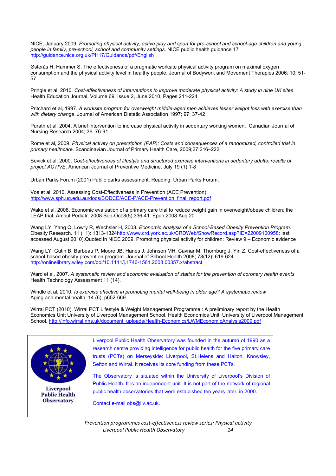NICE, January 2009. *Promoting physical activity, active play and sport for pre-school and school-age children and young people in family, pre-school, school and community settings*. NICE public health guidance 17 http://guidance.nice.org.uk/PH17/Guidance/pdf/English

Østerås H, Hammer S. The effectiveness of a pragmatic worksite physical activity program on maximal oxygen consumption and the physical activity level in healthy people. Journal of Bodywork and Movement Therapies 2006: 10; 51- 57.

Pringle et al, 2010. *Cost-effectiveness of interventions to improve moderate physical activity: A study in nine UK sites* Health Education Journal, Volume 69, Issue 2, June 2010, Pages 211-224

Pritchard et al, 1997. *A worksite program for overweight middle-aged men achieves lesser weight loss with exercise than with dietary change*. Journal of American Dietetic Association 1997; 97: 37-42

Purath et al, 2004. A brief intervention to increase physical activity in sedentary working women. Canadian Journal of Nursing Research 2004; 36: 76-91.

Rome et al, 2009. *Physical activity on prescription (PAP): Costs and consequences of a randomized, controlled trial in primary healthcare*. Scandinavian Journal of Primary Health Care, 2009;27:216–222

Sevick et al, 2000. *Cost-effectiveness of lifestyle and structured exercise interventions in sedentary adults: results of project ACTIVE*. American Journal of Preventive Medicine. July 19 (1) 1-8

Urban Parks Forum (2001) Public parks assessment. Reading: Urban Parks Forum.

Vos et al, 2010. Assessing Cost-Effectiveness in Prevention (ACE Prevention). http://www.sph.uq.edu.au/docs/BODCE/ACE-P/ACE-Prevention\_final\_report.pdf

Wake et al, 2008. Economic evaluation of a primary care trial to reduce weight gain in overweight/obese children: the LEAP trial. Ambul Pediatr. 2008 Sep-Oct;8(5):336-41. Epub 2008 Aug 20

Wang LY, Yang Q, Lowry R, Wechsler H, 2003. *Economic Analysis of a School-Based Obesity Prevention Program*. Obesity Research. 11 (11): 1313-1324http://www.crd.york.ac.uk/CRDWeb/ShowRecord.asp?ID=22009100958: last accessed August 2010).Quoted in NICE 2009. Promoting physical activity for children: Review 9 – Economic evidence

Wang LY, Gutin B, Barbeau P, Moore JB, Hanes J, Johnson MH, Cavnar M, Thornburg J, Yin Z. Cost-effectiveness of a school-based obesity prevention program. Journal of School Health 2008; 78(12): 619-624. http://onlinelibrary.wiley.com/doi/10.1111/j.1746-1561.2008.00357.x/abstract

Ward et al, 2007. *A systematic review and economic evaluation of statins for the prevention of coronary health events* Health Technology Assessment 11 (14).

Windle et al, 2010. *Is exercise effective in promoting mental well-being in older age? A systematic review* Aging and mental health, 14 (6), p652-669

Wirral PCT (2010). Wirral PCT Lifestyle & Weight Management Programme : A preliminary report by the Health Economics Unit University of Liverpool Management School. Health Economics Unit, University of Liverpool Management School. http://info.wirral.nhs.uk/document\_uploads/Health-Economics/LWMEconomicAnalysis2009.pdf



**Liverpool Public Health Observatory** 

Liverpool Public Health Observatory was founded in the autumn of 1990 as a research centre providing intelligence for public health for the five primary care trusts (PCTs) on Merseyside: Liverpool, St.Helens and Halton, Knowsley, Sefton and Wirral. It receives its core funding from these PCTs.

The Observatory is situated within the University of Liverpool's Division of Public Health. It is an independent unit. It is not part of the network of regional public health observatories that were established ten years later, in 2000.

Contact e-mail obs@liv.ac.uk.